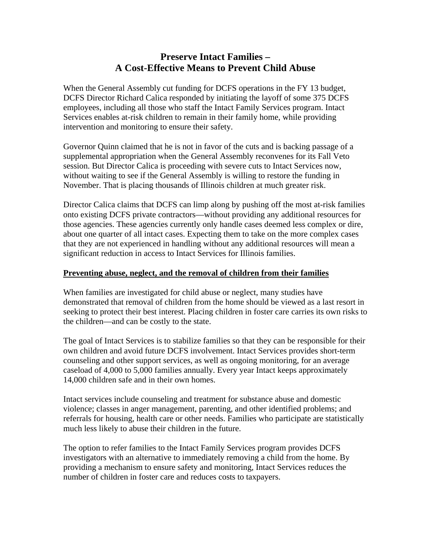# **Preserve Intact Families – A Cost-Effective Means to Prevent Child Abuse**

When the General Assembly cut funding for DCFS operations in the FY 13 budget, DCFS Director Richard Calica responded by initiating the layoff of some 375 DCFS employees, including all those who staff the Intact Family Services program. Intact Services enables at-risk children to remain in their family home, while providing intervention and monitoring to ensure their safety.

Governor Quinn claimed that he is not in favor of the cuts and is backing passage of a supplemental appropriation when the General Assembly reconvenes for its Fall Veto session. But Director Calica is proceeding with severe cuts to Intact Services now, without waiting to see if the General Assembly is willing to restore the funding in November. That is placing thousands of Illinois children at much greater risk.

Director Calica claims that DCFS can limp along by pushing off the most at-risk families onto existing DCFS private contractors—without providing any additional resources for those agencies. These agencies currently only handle cases deemed less complex or dire, about one quarter of all intact cases. Expecting them to take on the more complex cases that they are not experienced in handling without any additional resources will mean a significant reduction in access to Intact Services for Illinois families.

#### **Preventing abuse, neglect, and the removal of children from their families**

When families are investigated for child abuse or neglect, many studies have demonstrated that removal of children from the home should be viewed as a last resort in seeking to protect their best interest. Placing children in foster care carries its own risks to the children—and can be costly to the state.

The goal of Intact Services is to stabilize families so that they can be responsible for their own children and avoid future DCFS involvement. Intact Services provides short-term counseling and other support services, as well as ongoing monitoring, for an average caseload of 4,000 to 5,000 families annually. Every year Intact keeps approximately 14,000 children safe and in their own homes.

Intact services include counseling and treatment for substance abuse and domestic violence; classes in anger management, parenting, and other identified problems; and referrals for housing, health care or other needs. Families who participate are statistically much less likely to abuse their children in the future.

The option to refer families to the Intact Family Services program provides DCFS investigators with an alternative to immediately removing a child from the home. By providing a mechanism to ensure safety and monitoring, Intact Services reduces the number of children in foster care and reduces costs to taxpayers.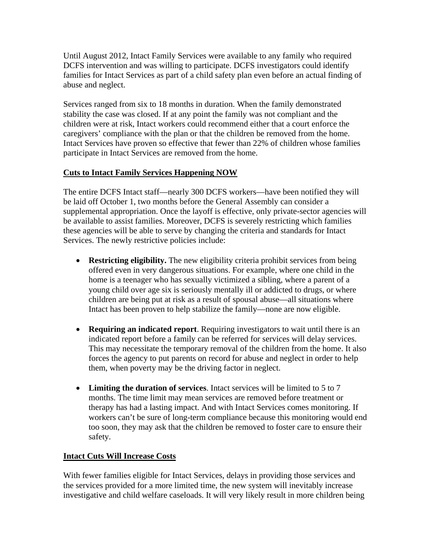Until August 2012, Intact Family Services were available to any family who required DCFS intervention and was willing to participate. DCFS investigators could identify families for Intact Services as part of a child safety plan even before an actual finding of abuse and neglect.

Services ranged from six to 18 months in duration. When the family demonstrated stability the case was closed. If at any point the family was not compliant and the children were at risk, Intact workers could recommend either that a court enforce the caregivers' compliance with the plan or that the children be removed from the home. Intact Services have proven so effective that fewer than 22% of children whose families participate in Intact Services are removed from the home.

## **Cuts to Intact Family Services Happening NOW**

The entire DCFS Intact staff—nearly 300 DCFS workers—have been notified they will be laid off October 1, two months before the General Assembly can consider a supplemental appropriation. Once the layoff is effective, only private-sector agencies will be available to assist families. Moreover, DCFS is severely restricting which families these agencies will be able to serve by changing the criteria and standards for Intact Services. The newly restrictive policies include:

- **Restricting eligibility.** The new eligibility criteria prohibit services from being offered even in very dangerous situations. For example, where one child in the home is a teenager who has sexually victimized a sibling, where a parent of a young child over age six is seriously mentally ill or addicted to drugs, or where children are being put at risk as a result of spousal abuse—all situations where Intact has been proven to help stabilize the family—none are now eligible.
- **Requiring an indicated report**. Requiring investigators to wait until there is an indicated report before a family can be referred for services will delay services. This may necessitate the temporary removal of the children from the home. It also forces the agency to put parents on record for abuse and neglect in order to help them, when poverty may be the driving factor in neglect.
- **Limiting the duration of services**. Intact services will be limited to 5 to 7 months. The time limit may mean services are removed before treatment or therapy has had a lasting impact. And with Intact Services comes monitoring. If workers can't be sure of long-term compliance because this monitoring would end too soon, they may ask that the children be removed to foster care to ensure their safety.

### **Intact Cuts Will Increase Costs**

With fewer families eligible for Intact Services, delays in providing those services and the services provided for a more limited time, the new system will inevitably increase investigative and child welfare caseloads. It will very likely result in more children being